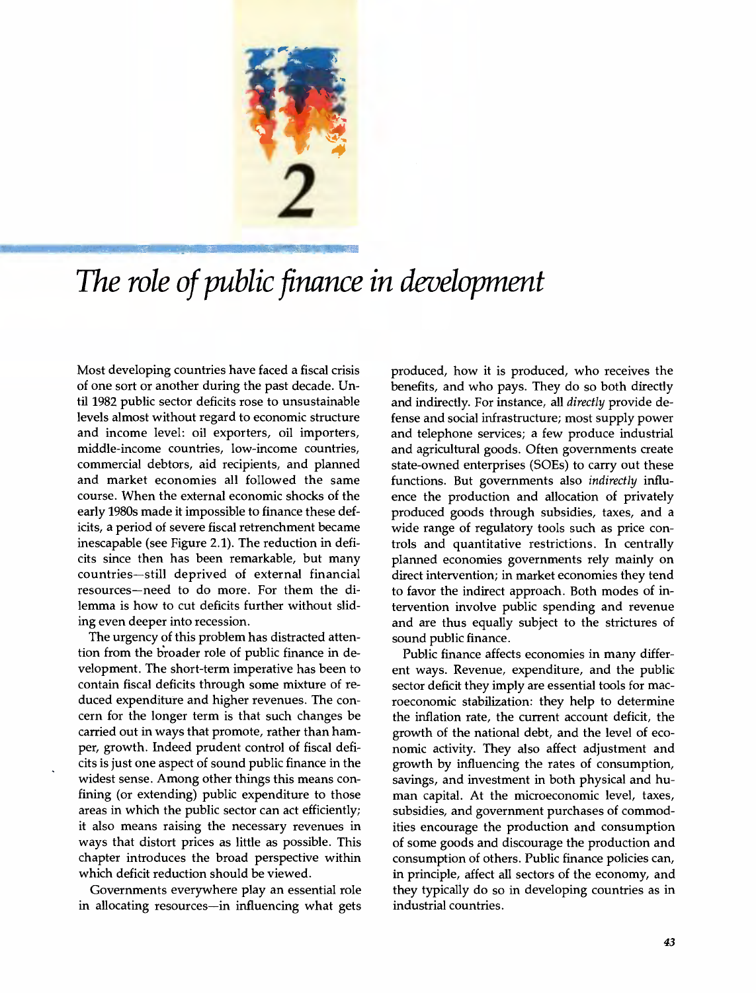

# The role of public finance in development

Most developing countries have faced a fiscal crisis of one sort or another during the past decade. Until 1982 public sector deficits rose to unsustainable levels almost without regard to economic structure and income level: oil exporters, oil importers, middle-income countries, low-income countries, commercial debtors, aid recipients, and planned and market economies all followed the same course. When the external economic shocks of the early 1980s made it impossible to finance these deficits, a period of severe fiscal retrenchment became inescapable (see Figure 2.1). The reduction in deficits since then has been remarkable, but many countries-still deprived of external financial resources-need to do more. For them the dilemma is how to cut deficits further without sliding even deeper into recession.

The urgency of this problem has distracted attention from the broader role of public finance in development. The short-term imperative has been to contain fiscal deficits through some mixture of reduced expenditure and higher revenues. The concern for the longer term is that such changes be carried out in ways that promote, rather than hamper, growth. Indeed prudent control of fiscal deficits is just one aspect of sound public finance in the widest sense. Among other things this means confining (or extending) public expenditure to those areas in which the public sector can act efficiently; it also means raising the necessary revenues in ways that distort prices as little as possible. This chapter introduces the broad perspective within which deficit reduction should be viewed.

Governments everywhere play an essential role in allocating resources—in influencing what gets produced, how it is produced, who receives the benefits, and who pays. They do so both directly and indirectly. For instance, all directly provide defense and social infrastructure; most supply power and telephone services; a few produce industrial and agricultural goods. Often governments create state-owned enterprises (SOEs) to carry out these functions. But governments also *indirectly* influence the production and allocation of privately produced goods through subsidies, taxes, and a wide range of regulatory tools such as price controls and quantitative restrictions. In centrally planned economies governments rely mainly on direct intervention; in market economies they tend to favor the indirect approach. Both modes of intervention involve public spending and revenue and are thus equally subject to the strictures of sound public finance.

Public finance affects economies in many different ways. Revenue, expenditure, and the public sector deficit they imply are essential tools for macroeconomic stabilization: they help to determine the inflation rate, the current account deficit, the growth of the national debt, and the level of economic activity. They also affect adjustment and growth by influencing the rates of consumption, savings, and investment in both physical and human capital. At the microeconomic level, taxes, subsidies, and government purchases of commodities encourage the production and consumption of some goods and discourage the production and consumption of others. Public finance policies can, in principle, affect all sectors of the economy, and they typically do so in developing countries as in industrial countries.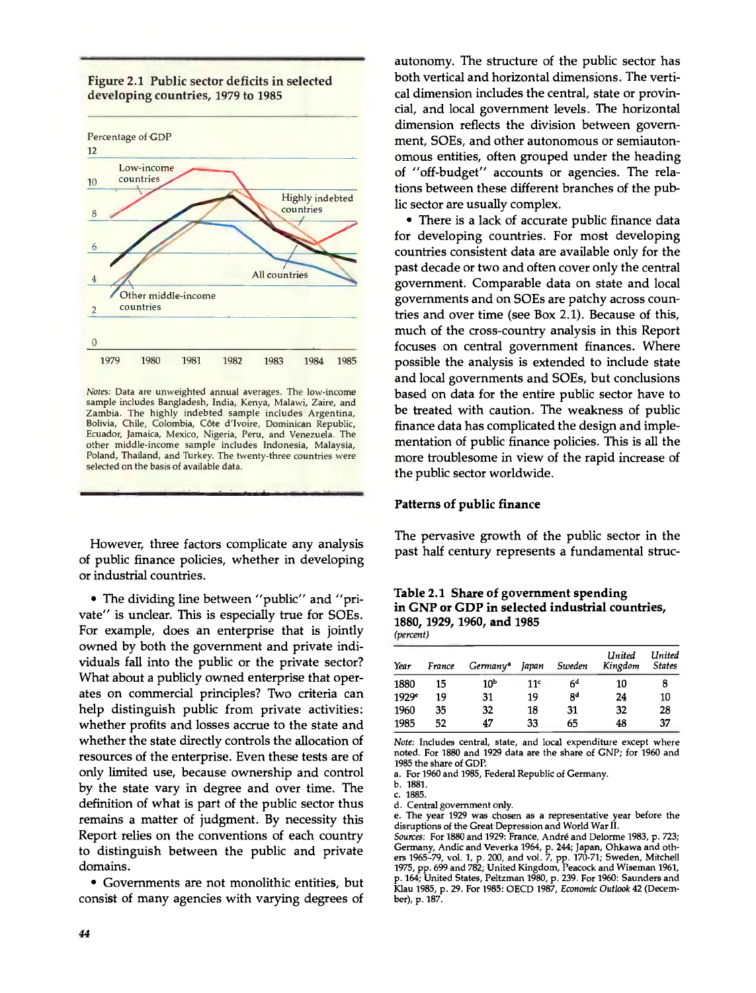

## Figure 2.1 Public sector deficits in selected developing countries, 1979 to 1985

Notes: Data are unweighted annual averages. The low-income sample includes Bangladesh, India, Kenya, Malawi, Zaire, and Zambia. The highly indebted sample includes Argentina, Bolivia, Chile, Colombia, Côte d'Ivoire, Dominican Republic, Ecuador, Jamaica, Mexico, Nigeria, Peru, and Venezuela. The other middle-income sample includes Indonesia, Malaysia, Poland, Thailand, and Turkey. The twenty-three countries were selected on the basis of available data.

However, three factors complicate any analysis of public finance policies, whether in developing or industrial countries.

The dividing line between "public" and "private" is unclear. This is especially true for SOEs. For example, does an enterprise that is jointly owned by both the government and private individuals fall into the public or the private sector? What about a publicly owned enterprise that operates on commercial principles? Two criteria can help distinguish public from private activities: whether profits and losses accrue to the state and whether the state directly controls the allocation of resources of the enterprise. Even these tests are of only limited use, because ownership and control by the state vary in degree and over time. The definition of what is part of the public sector thus remains a matter of judgment. By necessity this Report relies on the conventions of each country to distinguish between the public and private domains.

Governments are not monolithic entities, but consist of many agencies with varying degrees of

autonomy. The structure of the public sector has both vertical and horizontal dimensions. The vertical dimension includes the central, state or provincial, and local government levels. The horizontal dimension reflects the division between government, SOEs, and other autonomous or semiautonomous entities, often grouped under the heading of "off-budget" accounts or agencies. The relations between these different branches of the public sector are usually complex.

There is a lack of accurate public finance data for developing countries. For most developing countries consistent data are available only for the past decade or two and often cover only the central government. Comparable data on state and local governments and on SOEs are patchy across countries and over time (see Box 2.1). Because of this, much of the cross-country analysis in this Report focuses on central government finances. Where possible the analysis is extended to include state and local governments and SOEs, but conclusions based on data for the entire public sector have to be treated with caution. The weakness of public finance data has complicated the design and implementation of public finance policies. This is all the more troublesome in view of the rapid increase of the public sector worldwide.

## Patterns of public finance

The pervasive growth of the public sector in the past half century represents a fundamental struc-

Table 2.1 Share of government spending in GNP or GDP in selected industrial countries, 1880, 1929, 1960, and 1985 (percent)

| France | Germany <sup>a</sup> | Japan | Sweden         | United<br>Kingdom | United<br><b>States</b> |
|--------|----------------------|-------|----------------|-------------------|-------------------------|
| 15     | 10 <sup>b</sup>      | 11c   | 6 <sup>d</sup> | 10                | 8                       |
| 19     | 31                   | 19    | 8 <sup>d</sup> | 24                | 10                      |
| 35     | 32                   | 18    | 31             | 32                | 28                      |
| 52     | 47                   | 33    | 65             | 48                | 37                      |
|        |                      |       |                |                   |                         |

Note: Includes central, state, and local expenditure except where noted. For 1880 and 1929 data are the share of GNP; for 1960 and 1985 the share of GDP.

a. For 1960 and 1985, Federal Republic of Germany.

d. Central government only.

e. The year 1929 was chosen as a representative year before the disruptions of the Great Depression and World War II.

Sources: For 1880 and 1929: France, André and Delorme 1983, p. 723; Germany, Andic and Veverka 1964, p. 244; Japan, Ohkawa and oth-ers 1965-79, vol. 1, p. 200, and vol. 7, pp. 170-71; Sweden, Mitchell 1975, pp. 699 and 782; United Kingdom, Peacock and Wiseman 1961, p. 164; United States, Peltzman 1980, p. 239. For 1960: Saunders and Klau 1985, p. 29. For 1985: OECD 1987, Economic Outlook 42 (December), p. 187.

b. 1881.

c. 1885.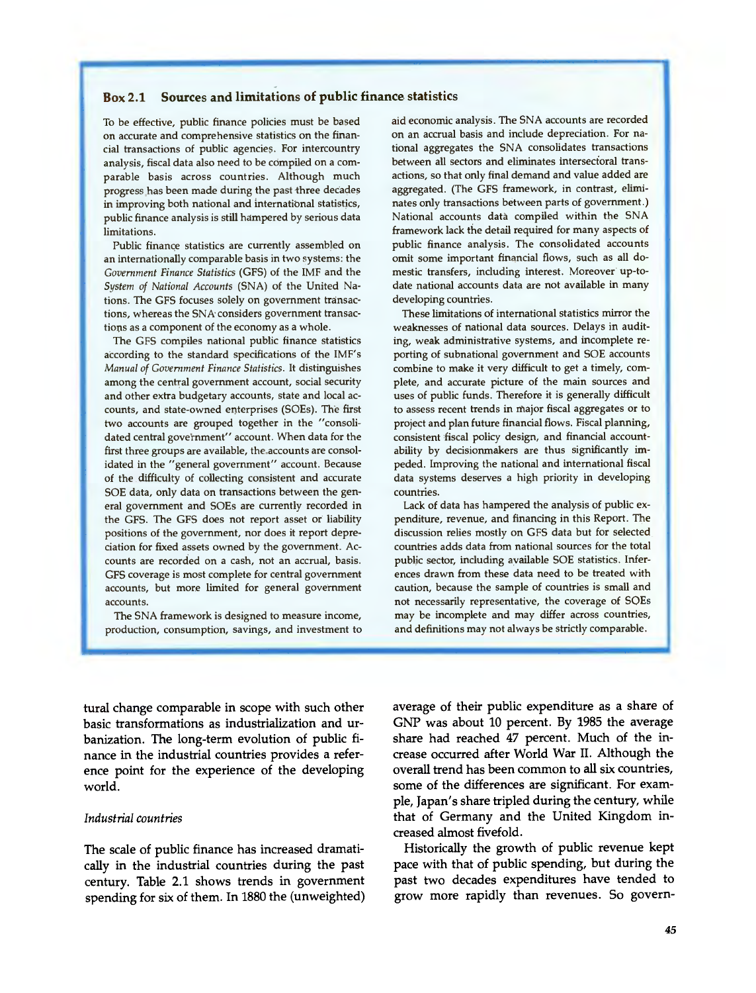# Box 2.1 Sources and limitations of public finance statistics

To be effective, public finance policies must be based on accurate and comprehensive statistics on the financial transactions of public agencies. For intercountry analysis, fiscal data also need to be compiled on a comparable basis across countries. Although much progress has been made during the past three decades in improving both national and international statistics, public finance analysis is still hampered by serious data limitations.

Public finance statistics are currently assembled on an internationally comparable basis in two systems: the Government Finance Statistics (GFS) of the IMF and the System of National Accounts (SNA) of the United Nations. The GFS focuses solely on government transactions, whereas the SNA considers government transactions as a component of the economy as a whole.

The GFS compiles national public finance statistics according to the standard specifications of the IMF's Manual of Government Finance Statistics. It distinguishes among the central government account, social security and other extra budgetary accounts, state and local accounts, and state-owned enterprises (SOE5). The first two accounts are grouped together in the "consolidated central government" account. When data for the first three groups are available, the accounts are consolidated in the "general government" account. Because of the difficulty of collecting consistent and accurate SOE data, only data on transactions between the general government and SOEs are currently recorded in the GFS. The GFS does not report asset or liability positions of the government, nor does it report depreciation for fixed assets owned by the government. Accounts are recorded on a cash, not an accrual, basis. GFS coverage is most complete for central government accounts, but more limited for general government accounts.

The SNA framework is designed to measure income, production, consumption, savings, and investment to aid economic analysis. The SNA accounts are recorded on an accrual basis and include depreciation. For national aggregates the SNA consolidates transactions between all sectors and eliminates intersectoral transactions, so that only final demand and value added are aggregated. (The GFS framework, in contrast, eliminates only transactions between parts of government.) National accounts data compiled within the SNA framework lack the detail required for many aspects of public finance analysis. The consolidated accounts omit some important financial flows, such as all domestic transfers, including interest. Moreover up-todate national accounts data are not available in many developing countries.

These limitations of international statistics mirror the weaknesses of national data sources. Delays in auditing, weak administrative systems, and incomplete reporting of subnational government and SOE accounts combine to make it very difficult to get a timely, complete, and accurate picture of the main sources and uses of public funds. Therefore it is generally difficult to assess recent trends in major fiscal aggregates or to project and plan future financial flows. Fiscal planning, consistent fiscal policy design, and financial accountability by decisionmakers are thus significantly impeded. Improving the national and international fiscal data systems deserves a high priority in developing countries.

Lack of data has hampered the analysis of public expenditure, revenue, and financing in this Report. The discussion relies mostly on GFS data but for selected countries adds data from national sources for the total public sector, including available SOE statistics. Inferences drawn from these data need to be treated with caution, because the sample of countries is small and not necessarily representative, the coverage of SOEs may be incomplete and may differ across countries, and definitions may not always be strictly comparable.

tural change comparable in scope with such other basic transformations as industrialization and urbanization. The long-term evolution of public finance in the industrial countries provides a reference point for the experience of the developing world.

## Industrial countries

The scale of public finance has increased dramatically in the industrial countries during the past century. Table 2.1 shows trends in government spending for six of them. In 1880 the (unweighted) average of their public expenditure as a share of GNP was about 10 percent. By 1985 the average share had reached 47 percent. Much of the increase occurred after World War II. Although the overall trend has been common to all six countries, some of the differences are significant. For example, Japan's share tripled during the century, while that of Germany and the United Kingdom increased almost fivefold.

Historically the growth of public revenue kept pace with that of public spending, but during the past two decades expenditures have tended to grow more rapidly than revenues. So govern-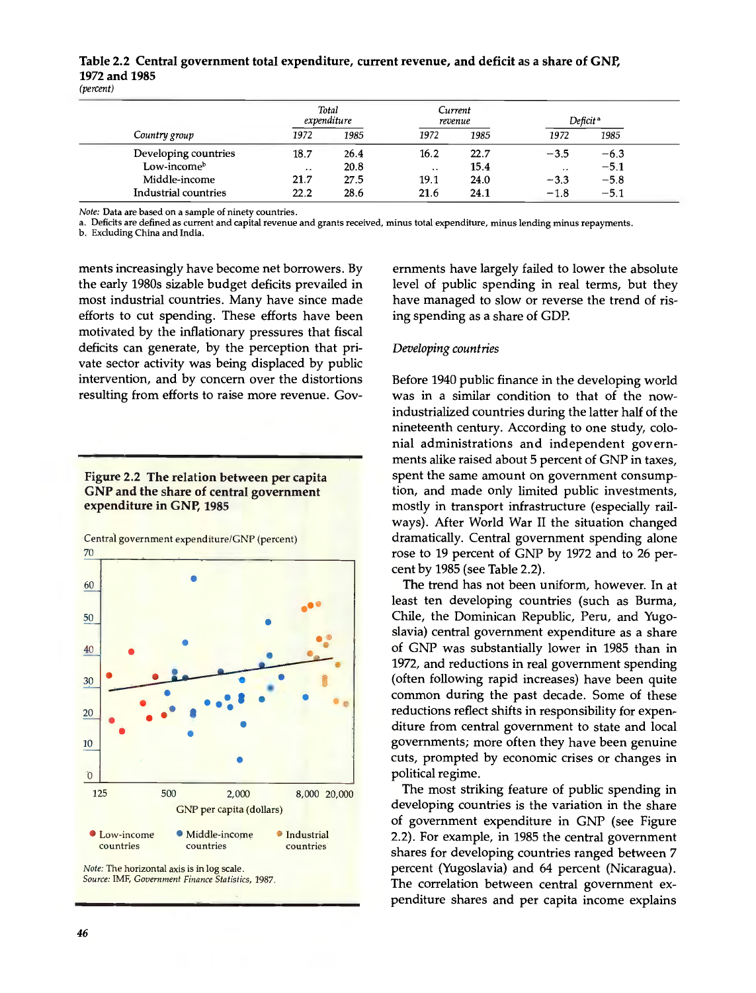# Table 2.2 Central government total expenditure, current revenue, and deficit as a share of GNP, 1972 and 1985

|                      | Total<br>expenditure |      | Current<br>revenue |      | Deficit <sup>a</sup> |        |
|----------------------|----------------------|------|--------------------|------|----------------------|--------|
| Country group        | 1972                 | 1985 | 1972               | 1985 | 1972                 | 1985   |
| Developing countries | 18.7                 | 26.4 | 16.2               | 22.7 | $-3.5$               | $-6.3$ |
| Low-income $b$       | $\sim$               | 20.8 | $\cdot$ .          | 15.4 | $\cdot$ .            | $-5.1$ |
| Middle-income        | 21.7                 | 27.5 | 19.1               | 24.0 | $-3.3$               | $-5.8$ |
| Industrial countries | 22.2                 | 28.6 | 21.6               | 24.1 | $-1.8$               | $-5.1$ |

Note: Data are based on a sample of ninety countries.

Deficits are defined as current and capital revenue and grants received, minus total expenditure, minus lending minus repayments.

b. Excluding China and India.

ments increasingly have become net borrowers. By the early 1980s sizable budget deficits prevailed in most industrial countries. Many have since made efforts to cut spending. These efforts have been motivated by the inflationary pressures that fiscal deficits can generate, by the perception that private sector activity was being displaced by public intervention, and by concern over the distortions resulting from efforts to raise more revenue. Gov-





Note: The horizontal axis is in log scale. Source: IMF, Government Finance Statistics, 1987.

ernments have largely failed to lower the absolute level of public spending in real terms, but they have managed to slow or reverse the trend of rising spending as a share of GDP.

## Developing countries

Before 1940 public finance in the developing world was in a similar condition to that of the nowindustrialized countries during the latter half of the nineteenth century. According to one study, colonial administrations and independent governments alike raised about 5 percent of GNP in taxes, spent the same amount on government consumption, and made only limited public investments, mostly in transport infrastructure (especially railways). After World War II the situation changed dramatically. Central government spending alone rose to 19 percent of GNP by 1972 and to 26 percent by 1985 (see Table 2.2).

The trend has not been uniform, however. In at least ten developing countries (such as Burma, Chile, the Dominican Republic, Peru, and Yugoslavia) central government expenditure as a share of GNP was substantially lower in 1985 than in 1972, and reductions in real government spending (often following rapid increases) have been quite common during the past decade. Some of these reductions reflect shifts in responsibility for expenditure from central government to state and local governments; more often they have been genuine cuts, prompted by economic crises or changes in political regime.

The most striking feature of public spending in developing countries is the variation in the share of government expenditure in GNP (see Figure 2.2). For example, in 1985 the central government shares for developing countries ranged between 7 percent (Yugoslavia) and 64 percent (Nicaragua). The correlation between central government expenditure shares and per capita income explains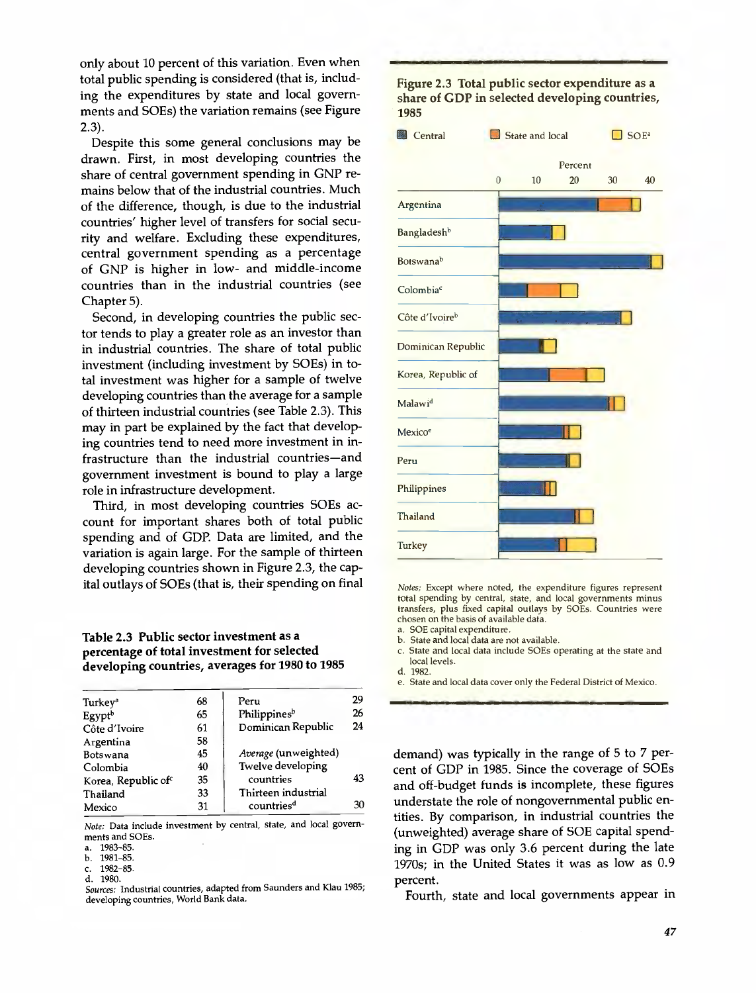only about 10 percent of this variation. Even when total public spending is considered (that is, including the expenditures by state and local governments and SOEs) the variation remains (see Figure 2.3).

 $\sum_{n=1}^{\infty}$ . Despite this some general conclusions may be drawn. First, in most developing countries the share of central government spending in GNP remains below that of the industrial countries. Much of the difference, though, is due to the industrial countries' higher level of transfers for social security and welfare. Excluding these expenditures, central government spending as a percentage of GNP is higher in low- and middle-income countries than in the industrial countries (see Chapter 5).

Second, in developing countries the public sector tends to play a greater role as an investor than in industrial countries. The share of total public investment (including investment by SOEs) in total investment was higher for a sample of twelve developing countries than the average for a sample of thirteen industrial countries (see Table 2.3). This may in part be explained by the fact that developing countries tend to need more investment in infrastructure than the industrial countries-and government investment is bound to play a large role in infrastructure development.

Third, in most developing countries SOEs account for important shares both of total public spending and of GDP. Data are limited, and the variation is again large. For the sample of thirteen developing countries shown in Figure 2.3, the capital outlays of SOEs (that is, their spending on final

## Table 2.3 Public sector investment as a percentage of total investment for selected developing countries, averages for 1980 to 1985

| 68 | Peru                     | 29                |                     |
|----|--------------------------|-------------------|---------------------|
| 65 | Philippines <sup>b</sup> | 26                |                     |
| 61 | Dominican Republic       | 24                |                     |
| 58 |                          |                   |                     |
| 45 | Average (unweighted)     |                   | dei                 |
| 40 |                          |                   | cer                 |
| 35 | countries                | 43                | an                  |
| 33 | Thirteen industrial      |                   |                     |
| 31 | countries <sup>d</sup>   | 30                | un<br>$\sim$ $\sim$ |
|    |                          | Twelve developing |                     |

Note: Data include investment by central, state, and local governments and SOEs.

d. 1980.<br>*Sources:* Industrial countries, adapted from Saunders and Klau 1985; developing countries, World Bank data.





Notes: Except where noted, the expenditure figures represent total spending by central, state, and local governments minus transfers, plus fixed capital outlays by SOEs. Countries were chosen on the basis of available data.

- a. SOE capital expenditure. b. State and local data are not available.
- 
- c. State and local data include SOEs operating at the state and local levels.
- d. 1982.
- e. State and local data cover only the Federal District of Mexico.

demand) was typically in the range of 5 to 7 percent of GDP in 1985. Since the coverage of SOEs and off-budget funds is incomplete, these figures understate the role of nongovernmental public entities. By comparison, in industrial countries the (unweighted) average share of SOE capital spending in GDP was only 3.6 percent during the late 1970s; in the United States it was as low as 0.9 percent.

Fourth, state and local governments appear in

<sup>1983-85.</sup> a.

b. 1981-85.

c. 1982-85.<br>d. 1980. c.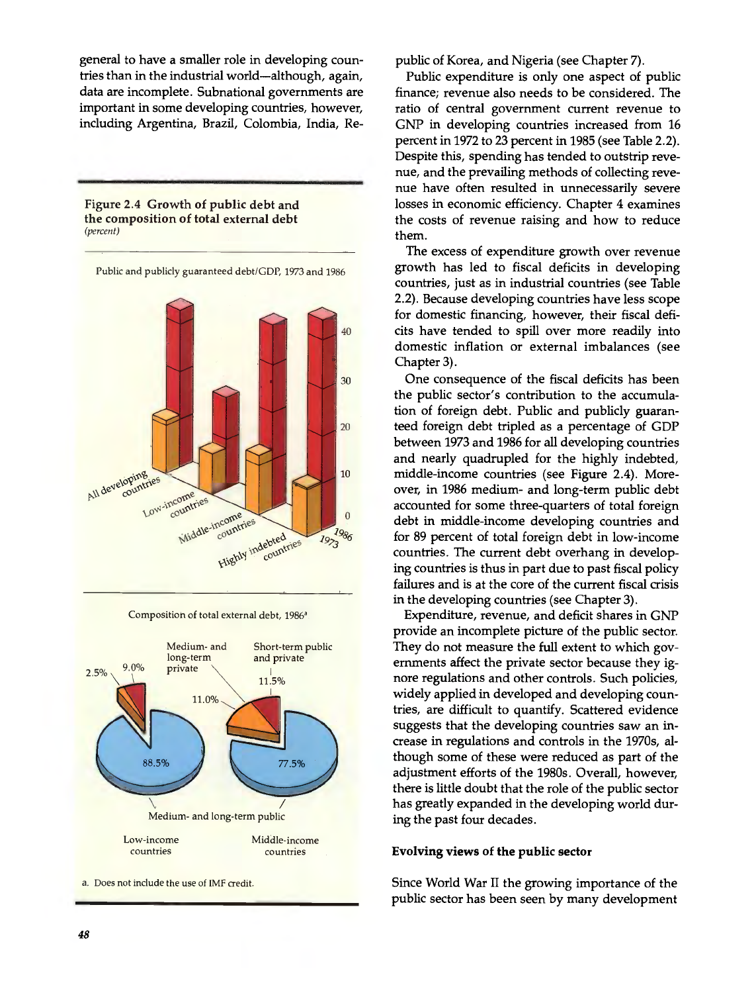general to have a smaller role in developing countries than in the industrial world—although, again, data are incomplete. Subnational governments are important in some developing countries, however, including Argentina, Brazil, Colombia, India, Re-

## Figure 2.4 Growth of public debt and the composition of total external debt (percent)



Composition of total external debt, 1986'



public of Korea, and Nigeria (see Chapter 7).

Public expenditure is only one aspect of public finance; revenue also needs to be considered. The ratio of central government current revenue to GNP in developing countries increased from 16 percent in 1972 to 23 percent in 1985 (see Table 2.2). Despite this, spending has tended to outstrip revenue, and the prevailing methods of collecting revenue have often resulted in unnecessarily severe losses in economic efficiency. Chapter 4 examines the costs of revenue raising and how to reduce them.

The excess of expenditure growth over revenue growth has led to fiscal deficits in developing countries, just as in industrial countries (see Table 2.2). Because developing countries have less scope for domestic financing, however, their fiscal deficits have tended to spill over more readily into domestic inflation or external imbalances (see Chapter 3).

One consequence of the fiscal deficits has been the public sector's contribution to the accumulation of foreign debt. Public and publicly guaranteed foreign debt tripled as a percentage of GDP between 1973 and 1986 for all developing countries and nearly quadrupled for the highly indebted, middle-income countries (see Figure 2.4). Moreover, in 1986 medium- and long-term public debt accounted for some three-quarters of total foreign debt in middle-income developing countries and for 89 percent of total foreign debt in low-income countries. The current debt overhang in developing countries is thus in part due to past fiscal policy failures and is at the core of the current fiscal crisis in the developing countries (see Chapter 3).

Expenditure, revenue, and deficit shares in GNP provide an incomplete picture of the public sector. They do not measure the full extent to which governments affect the private sector because they ignore regulations and other controls. Such policies, widely applied in developed and developing countries, are difficult to quantify. Scattered evidence suggests that the developing countries saw an increase in regulations and controls in the 1970s, although some of these were reduced as part of the adjustment efforts of the 1980s. Overall, however, there is little doubt that the role of the public sector has greatly expanded in the developing world during the past four decades.

#### Evolving views of the public sector

Since World War II the growing importance of the public sector has been seen by many development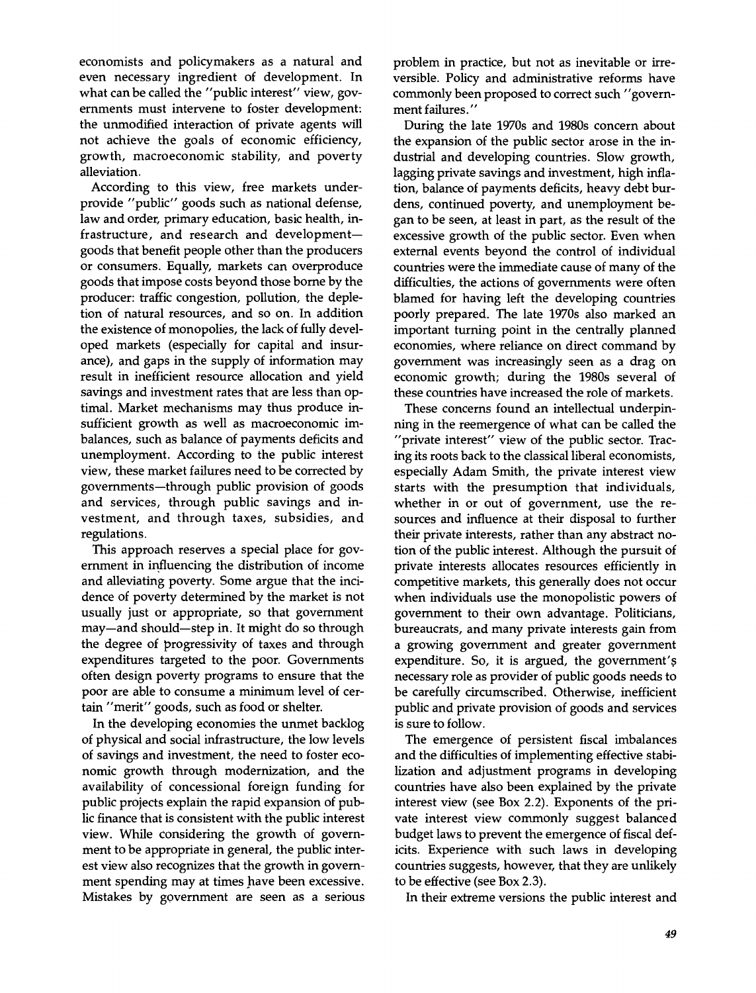economists and policymakers as a natural and even necessary ingredient of development. In what can be called the "public interest" view, governments must intervene to foster development: the unmodified interaction of private agents will not achieve the goals of economic efficiency, growth, macroeconomic stability, and poverty alleviation.

According to this view, free markets underprovide "public" goods such as national defense, law and order, primary education, basic health, infrastructure, and research and development goods that benefit people other than the producers or consumers. Equally, markets can overproduce goods that impose costs beyond those borne by the producer: traffic congestion, pollution, the depletion of natural resources, and so on. In addition the existence of monopolies, the lack of fully developed markets (especially for capital and insurance), and gaps in the supply of information may result in inefficient resource allocation and yield savings and investment rates that are less than optimal. Market mechanisms may thus produce insufficient growth as well as macroeconomic imbalances, such as balance of payments deficits and unemployment. According to the public interest view, these market failures need to be corrected by governments—through public provision of goods and services, through public savings and investment, and through taxes, subsidies, and regulations.

This approach reserves a special place for government in influencing the distribution of income and alleviating poverty. Some argue that the incidence of poverty determined by the market is not usually just or appropriate, so that government may—and should—step in. It might do so through the degree of progressivity of taxes and through expenditures targeted to the poor. Governments often design poverty programs to ensure that the poor are able to consume a minimum level of certain "merit" goods, such as food or shelter.

In the developing economies the unmet backlog of physical and social infrastructure, the low levels of savings and investment, the need to foster economic growth through modernization, and the availability of concessional foreign funding for public projects explain the rapid expansion of public finance that is consistent with the public interest view. While considering the growth of government to be appropriate in general, the public interest view also recognizes that the growth in government spending may at times have been excessive. Mistakes by government are seen as a serious problem in practice, but not as inevitable or irreversible. Policy and administrative reforms have commonly been proposed to correct such "government failures."

During the late 1970s and 1980s concern about the expansion of the public sector arose in the industrial and developing countries. Slow growth, lagging private savings and investment, high inflation, balance of payments deficits, heavy debt burdens, continued poverty, and unemployment began to be seen, at least in part, as the result of the excessive growth of the public sector. Even when external events beyond the control of individual countries were the immediate cause of many of the difficulties, the actions of governments were often blamed for having left the developing countries poorly prepared. The late 1970s also marked an important turning point in the centrally planned economies, where reliance on direct command by government was increasingly seen as a drag on economic growth; during the 1980s several of these countries have increased the role of markets.

These concerns found an intellectual underpinning in the reemergence of what can be called the "private interest" view of the public sector. Tracing its roots back to the classical liberal economists, especially Adam Smith, the private interest view starts with the presumption that individuals, whether in or out of government, use the resources and influence at their disposal to further their private interests, rather than any abstract notion of the public interest. Although the pursuit of private interests allocates resources efficiently in competitive markets, this generally does not occur when individuals use the monopolistic powers of government to their own advantage. Politicians, bureaucrats, and many private interests gain from a growing government and greater government expenditure. So, it is argued, the government's necessary role as provider of public goods needs to be carefully circumscribed. Otherwise, inefficient public and private provision of goods and services is sure to follow.

The emergence of persistent fiscal imbalances and the difficulties of implementing effective stabilization and adjustment programs in developing countries have also been explained by the private interest view (see Box 2.2). Exponents of the private interest view commonly suggest balanced budget laws to prevent the emergence of fiscal deficits. Experience with such laws in developing countries suggests, however, that they are unlikely to be effective (see Box 2.3).

In their extreme versions the public interest and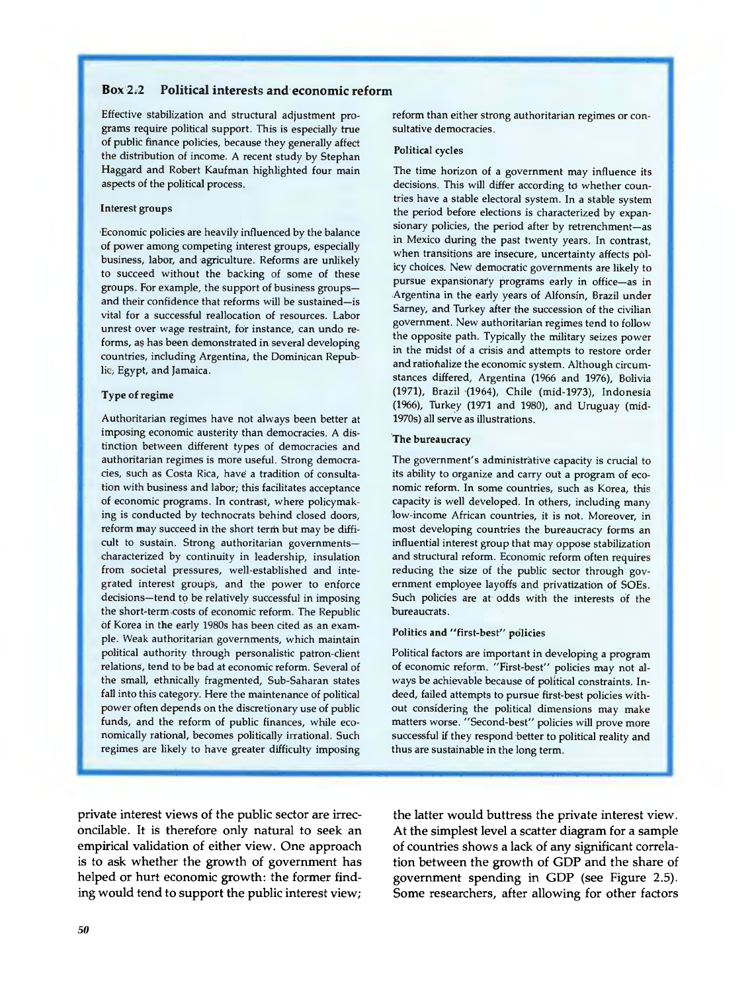# Box 2.2 Political interests and economic reform

Effective stabilization and structural adjustment programs require political support. This is especially true of public finance policies, because they generally affect the distribution of income. A recent study by Stephan Haggard and Robert Kaufman highlighted four main aspects of the political process.

#### Interest groups

Economic policies are heavily influenced by the balance of power among competing interest groups, especially business, labor, and agriculture. Reforms are unlikely to succeed without the backing of some of these groups. For example, the support of business groups and their confidence that reforms will be sustained-is vital for a successful reallocation of resources. Labor unrest over wage restraint, for instance, can undo reforms, as has been demonstrated in several developing countries, including Argentina, the Dominican Republic, Egypt, and Jamaica.

#### Type of regime

Authoritarian regimes have not always been better at imposing economic austerity than democracies. A distinction between different types of democracies and authoritarian regimes is more useful. Strong democracies, such as Costa Rica, have a tradition of consultation with business and labor; this facilitates acceptance of economic programs. In contrast, where policymaking is conducted by technocrats behind closed doors, reform may succeed in the short term but may be difficult to sustain. Strong authoritarian governments characterized by continuity in leadership, insulation from societal pressures, well-established and integrated interest groups, and the power to enforce decisions-tend to be relatively successful in imposing the short-term costs of economic reform. The Republic of Korea in the early 1980s has been cited as an example. Weak authoritarian governments, which maintain political authority through personalistic patron-client relations, tend to be bad at economic reform. Several of the small, ethnically fragmented, Sub-Saharan states fall into this category. Here the maintenance of political power often depends on the discretionary use of public funds, and the reform of public finances, while economically rational, becomes politically irrational. Such regimes are likely to have greater difficulty imposing

reform than either strong authoritarian regimes or consultative democracies.

#### Political cycles

The time horizon of a government may influence its decisions. This will differ according to whether countries have a stable electoral system. In a stable system the period before elections is characterized by expansionary policies, the period after by retrenchment-as in Mexico during the past twenty years. In contrast, when transitions are insecure, uncertainty affects policy choices. New democratic governments are likely to pursue expansionary programs early in office-as in Argentina in the early years of Alfonsin, Brazil under Sarney, and Turkey after the succession of the civilian government. New authoritarian regimes tend to follow the opposite path. Typically the military seizes power in the midst of a crisis and attempts to restore order and rationalize the economic system. Although circumstances differed, Argentina (1966 and 1976), Bolivia (1971), Brazil (1964), Chile (mid-1973), Indonesia (1966), Turkey (1971 and 1980), and Uruguay (mid-1970s) all serve as illustrations.

#### The bureaucracy

The government's administrative capacity is crucial to its ability to organize and carry out a program of economic reform. In some countries, such as Korea, this capacity is well developed. In others, including many low-income African countries, it is not. Moreover, in most developing countries the bureaucracy forms an influential interest group that may oppose stabilization and structural reform. Economic reform often requires reducing the size of the public sector through government employee layoffs and privatization of SOEs. Such policies are at odds with the interests of the bureaucrats.

#### Politics and "first-best" policies

Political factors are important in developing a program of economic reform. "First-best" policies may not always be achievable because of political constraints. Indeed, failed attempts to pursue first-best policies without considering the political dimensions may make matters worse. "Second-best" policies will prove more successful if they respond better to political reality and thus are sustainable in the long term.

private interest views of the public sector are irreconcilable. It is therefore only natural to seek an empirical validation of either view. One approach is to ask whether the growth of government has helped or hurt economic growth: the former finding would tend to support the public interest view; the latter would buttress the private interest view. At the simplest level a scatter diagram for a sample of countries shows a lack of any significant correlation between the growth of GDP and the share of government spending in GDP (see Figure 2.5). Some researchers, after allowing for other factors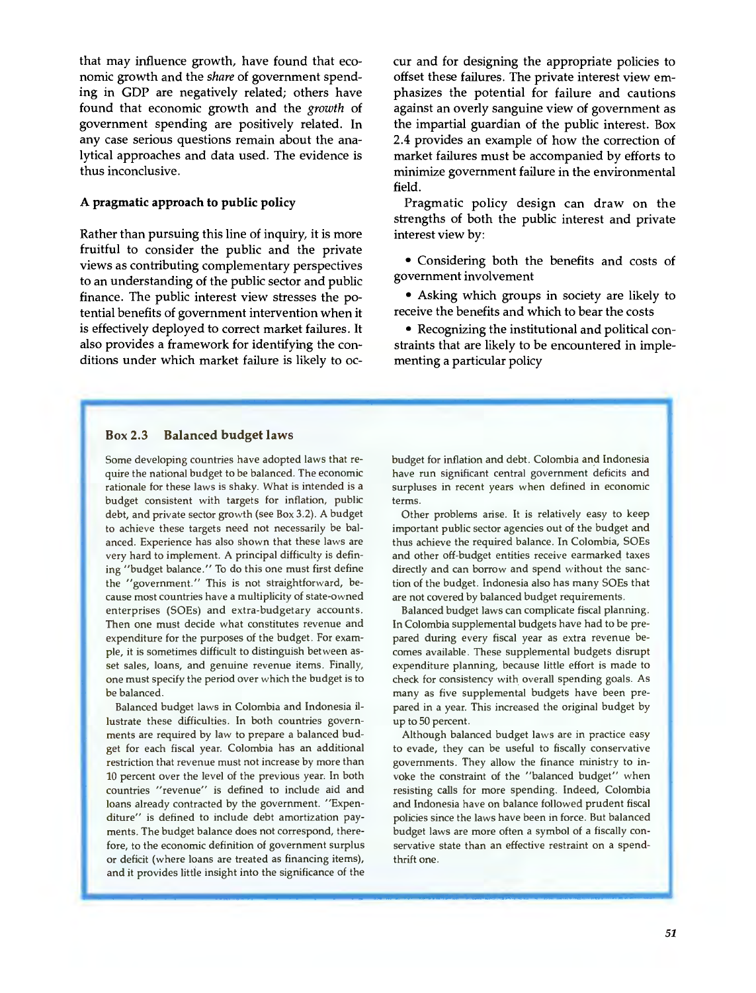that may influence growth, have found that economic growth and the share of government spending in GDP are negatively related; others have found that economic growth and the growth of government spending are positively related. In any case serious questions remain about the analytical approaches and data used. The evidence is thus inconclusive.

## A pragmatic approach to public policy

Rather than pursuing this line of inquiry, it is more fruitful to consider the public and the private views as contributing complementary perspectives to an understanding of the public sector and public finance. The public interest view stresses the potential benefits of government intervention when it is effectively deployed to correct market failures. It also provides a framework for identifying the conditions under which market failure is likely to occur and for designing the appropriate policies to offset these failures. The private interest view emphasizes the potential for failure and cautions against an overly sanguine view of government as the impartial guardian of the public interest. Box 2.4 provides an example of how the correction of market failures must be accompanied by efforts to minimize government failure in the environmental field.

Pragmatic policy design can draw on the strengths of both the public interest and private interest view by:

Considering both the benefits and costs of government involvement

Asking which groups in society are likely to receive the benefits and which to bear the costs

Recognizing the institutional and political constraints that are likely to be encountered in implementing a particular policy

## Box 2.3 Balanced budget laws

Some developing countries have adopted laws that require the national budget to be balanced. The economic rationale for these laws is shaky. What is intended is a budget consistent with targets for inflation, public debt, and private sector growth (see Box 3.2). A budget to achieve these targets need not necessarily be balanced. Experience has also shown that these laws are very hard to implement. A principal difficulty is defining "budget balance." To do this one must first define the "government." This is not straightforward, because most countries have a multiplicity of state-owned enterprises (SOE5) and extra-budgetary accounts. Then one must decide what constitutes revenue and expenditure for the purposes of the budget. For example, it is sometimes difficult to distinguish between asset sales, loans, and genuine revenue items. Finally, one must specify the period over which the budget is to be balanced.

Balanced budget laws in Colombia and Indonesia illustrate these difficulties. In both countries governments are required by law to prepare a balanced budget for each fiscal year. Colombia has an additional restriction that revenue must not increase by more than 10 percent over the level of the previous year. In both countries "revenue" is defined to include aid and loans already contracted by the government. "Expenditure" is defined to include debt amortization payments. The budget balance does not correspond, therefore, to the economic definition of government surplus or deficit (where loans are treated as financing items), and it provides little insight into the significance of the budget for inflation and debt. Colombia and Indonesia have run significant central government deficits and surpluses in recent years when defined in economic terms.

Other problems arise. It is relatively easy to keep important public sector agencies out of the budget and thus achieve the required balance. In Colombia, SOEs and other off-budget entities receive earmarked taxes directly and can borrow and spend without the sanction of the budget. Indonesia also has many SOEs that are not covered by balanced budget requirements.

Balanced budget laws can complicate fiscal planning. In Colombia supplemental budgets have had to be prepared during every fiscal year as extra revenue becomes available. These supplemental budgets disrupt expenditure planning, because little effort is made to check for consistency with overall spending goals. As many as five supplemental budgets have been prepared in a year. This increased the original budget by up to 50 percent.

Although balanced budget laws are in practice easy to evade, they can be useful to fiscally conservative governments. They allow the finance ministry to invoke the constraint of the "balanced budget" when resisting calls for more spending. Indeed, Colombia and Indonesia have on balance followed prudent fiscal policies since the laws have been in force. But balanced budget laws are more often a symbol of a fiscally conservative state than an effective restraint on a spendthrift one.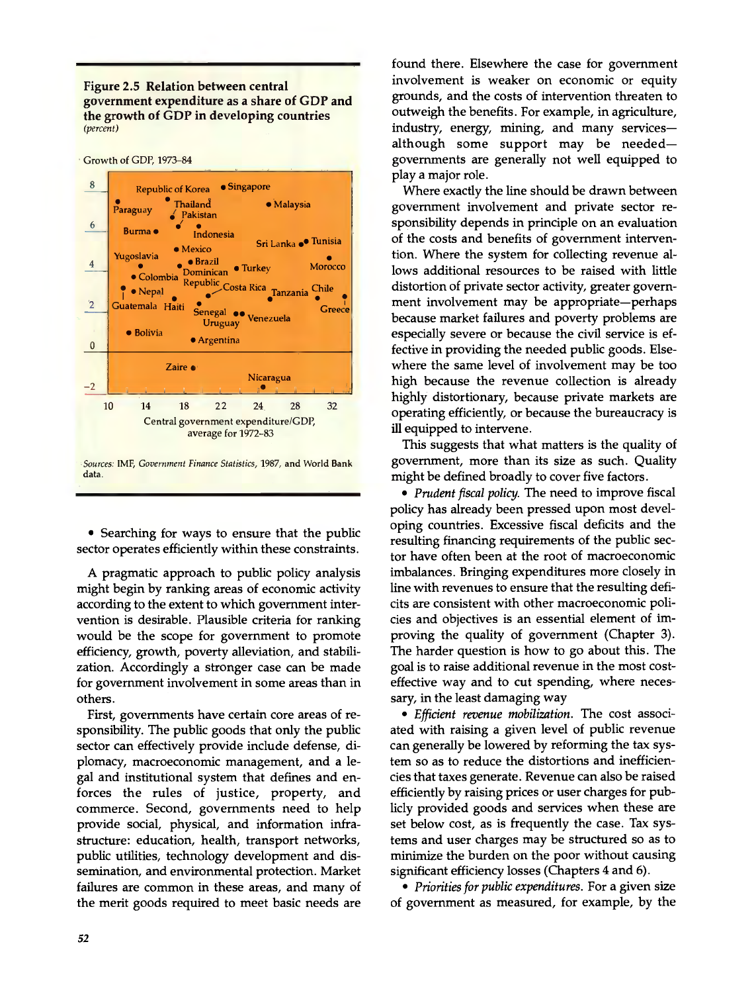Figure 2.5 Relation between central government expenditure as a share of GDP and the growth of GDP in developing countries (percent)





Sources: IMF, Government Finance Statistics, 1987, and World Bank data.

• Searching for ways to ensure that the public sector operates efficiently within these constraints.

A pragmatic approach to public policy analysis might begin by ranking areas of economic activity according to the extent to which government intervention is desirable. Plausible criteria for ranking would be the scope for government to promote efficiency, growth, poverty alleviation, and stabilization. Accordingly a stronger case can be made for government involvement in some areas than in others.

First, governments have certain core areas of responsibility. The public goods that only the public sector can effectively provide include defense, diplomacy, macroeconomic management, and a legal and institutional system that defines and enforces the rules of justice, property, and commerce. Second, governments need to help provide social, physical, and information infrastructure: education, health, transport networks, public utilities, technology development and dissemination, and environmental protection. Market failures are common in these areas, and many of the merit goods required to meet basic needs are found there. Elsewhere the case for government involvement is weaker on economic or equity grounds, and the costs of intervention threaten to outweigh the benefits. For example, in agriculture, industry, energy, mining, and many services-<br>although some support may be neededgovernments are generally not well equipped to play a major role.

Where exactly the line should be drawn between government involvement and private sector responsibility depends in principle on an evaluation of the costs and benefits of government intervention. Where the system for collecting revenue allows additional resources to be raised with little distortion of private sector activity, greater government involvement may be appropriate-perhaps because market failures and poverty problems are especially severe or because the civil service is effective in providing the needed public goods. Elsewhere the same level of involvement may be too high because the revenue collection is already highly distortionary, because private markets are operating efficiently, or because the bureaucracy is ill equipped to intervene.

This suggests that what matters is the quality of government, more than its size as such. Quality might be defined broadly to cover five factors.

• Prudent fiscal policy. The need to improve fiscal policy has already been pressed upon most developing countries. Excessive fiscal deficits and the resulting financing requirements of the public sector have often been at the root of macroeconomic imbalances. Bringing expenditures more closely in line with revenues to ensure that the resulting deficits are consistent with other macroeconomic policies and objectives is an essential element of improving the quality of government (Chapter 3). The harder question is how to go about this. The goal is to raise additional revenue in the most costeffective way and to cut spending, where necessary, in the least damaging way

Efficient revenue mobilization. The cost associated with raising a given level of public revenue can generally be lowered by reforming the tax system so as to reduce the distortions and inefficiencies that taxes generate. Revenue can also be raised efficiently by raising prices or user charges for publicly provided goods and services when these are set below cost, as is frequently the case. Tax systems and user charges may be structured so as to minimize the burden on the poor without causing significant efficiency losses (Chapters 4 and 6).

• Priorities for public expenditures. For a given size of government as measured, for example, by the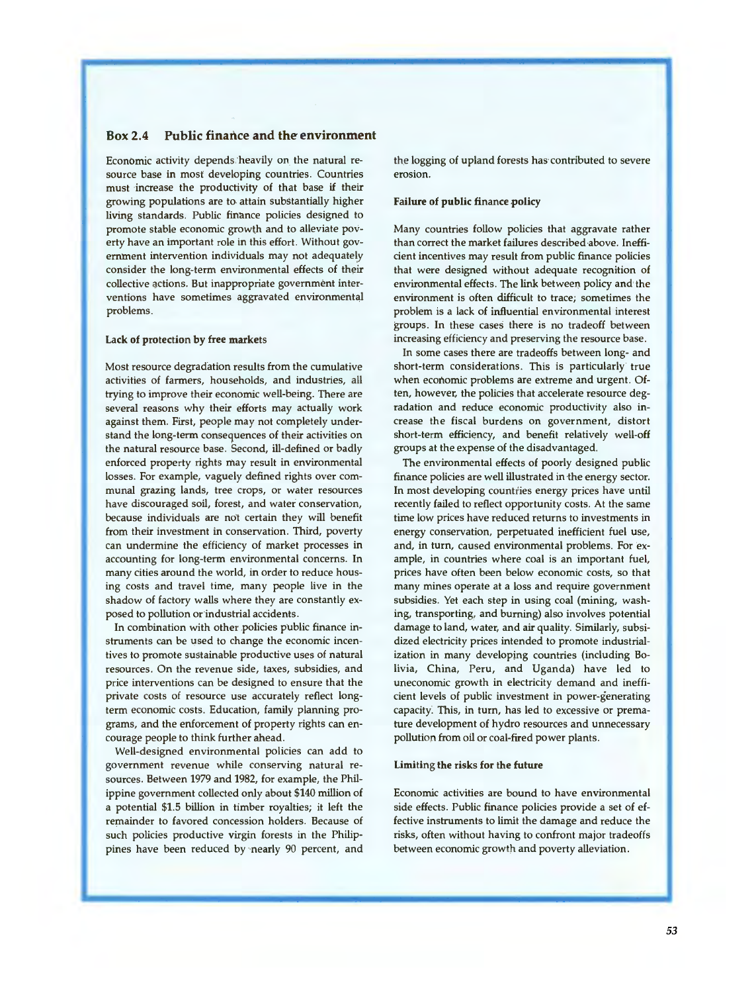#### Box 2.4 Public finance and the environment

Economic activity depends heavily on the natural resource base in most developing countries. Countries must increase the productivity of that base if their growing populations are to attain substantially higher living standards. Public finance policies designed to promote stable economic growth and to alleviate poverty have an important role in this effort. Without government intervention individuals may not adequately consider the long-term environmental effects of their collective actions. But inappropriate government interventions have sometimes aggravated environmental problems.

#### Lack of protection by free markets

Most resource degradation results from the cumulative activities of farmers, households, and industries, all trying to improve their economic well-being. There are several reasons why their efforts may actually work against them. First, people may not completely understand the long-term consequences of their activities on the natural resource base. Second, ill-defined or badly enforced property rights may result in environmental losses. For example, vaguely defined rights over communal grazing lands, tree crops, or water resources have discouraged soil, forest, and water conservation, because individuals are not certain they will benefit from their investment in conservation. Third, poverty can undermine the efficiency of market processes in accounting for long-term environmental concerns. In many cities around the world, in order to reduce housing costs and travel time, many people live in the shadow of factory walls where they are constantly exposed to pollution or industrial accidents.

In combination with other policies public finance instruments can be used to change the economic incentives to promote sustainable productive uses of natural resources. On the revenue side, taxes, subsidies, and price interventions can be designed to ensure that the private costs of resource use accurately reflect longterm economic costs. Education, family planning programs, and the enforcement of property rights can encourage people to think further ahead.

Well-designed environmental policies can add to government revenue while conserving natural resources. Between 1979 and 1982, for example, the Philippine government collected only about \$140 million of a potential \$1.5 billion in timber royalties; it left the remainder to favored concession holders. Because of such policies productive virgin forests in the Philippines have been reduced by nearly 90 percent, and

the logging of upland forests has contributed to severe erosion.

#### Failure of public finance policy

Many countries follow policies that aggravate rather than correct the market failures described above. Inefficient incentives may result from public finance policies that were designed without adequate recognition of environmental effects. The link between policy and the environment is often difficult to trace; sometimes the problem is a lack of influential environmental interest groups. In these cases there is no tradeoff between increasing efficiency and preserving the resource base.

In some cases there are tradeoffs between long- and short-term considerations. This is particularly true when economic problems are extreme and urgent. Often, however, the policies that accelerate resource degradation and reduce economic productivity also increase the fiscal burdens on government, distort short-term efficiency, and benefit relatively well-off groups at the expense of the disadvantaged.

The environmental effects of poorly designed public finance policies are well illustrated in the energy sector. In most developing countries energy prices have until recently failed to reflect opportunity costs. At the same time low prices have reduced returns to investments in energy conservation, perpetuated inefficient fuel use, and, in turn, caused environmental problems. For example, in countries where coal is an important fuel, prices have often been below economic costs, so that many mines operate at a loss and require government subsidies. Yet each step in using coal (mining, washing, transporting, and burning) also involves potential damage to land, water, and air quality. Similarly, subsidized electricity prices intended to promote industrialization in many developing countries (including Bolivia, China, Peru, and Uganda) have led to uneconomic growth in electricity demand and inefficient levels of public investment in power-generating capacity. This, in turn, has led to excessive or premature development of hydro resources and unnecessary pollution from oil or coal-fired power plants.

#### Limiting the risks for the future

Economic activities are bound to have environmental side effects. Public finance policies provide a set of effective instruments to limit the damage and reduce the risks, often without having to confront major tradeoffs between economic growth and poverty alleviation.